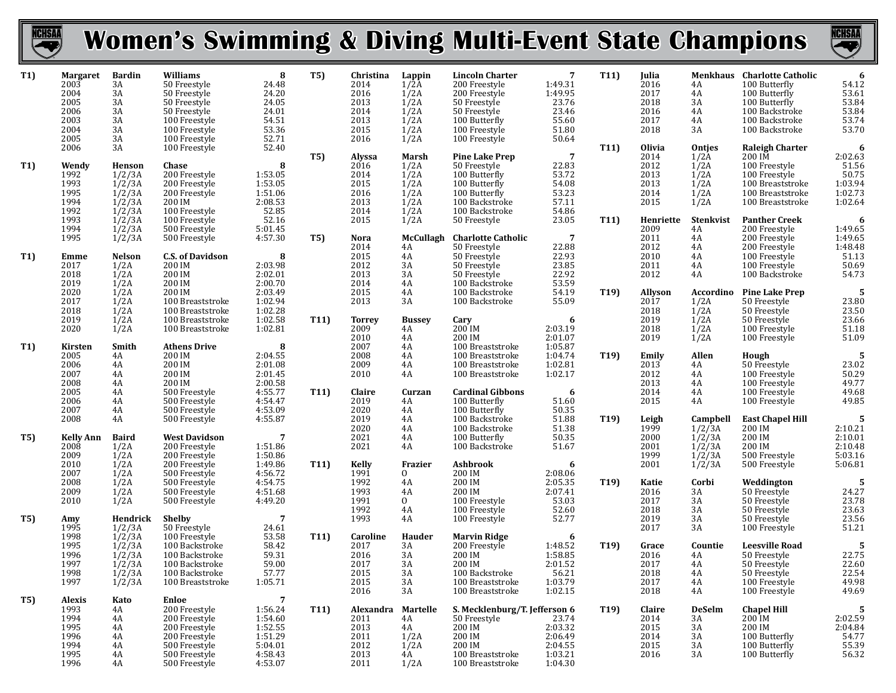

## **Women's Swimming & Diving Multi-Event State Champions**



| T <sub>1</sub> ) | <b>Margaret</b><br>2003<br>2004<br>2005<br>2006<br>2003<br>2004<br>2005 | <b>Bardin</b><br>3A<br>3A<br>3A<br>3A<br>3A<br>3A<br>3A        | Williams<br>50 Freestyle<br>50 Freestyle<br>50 Freestyle<br>50 Freestyle<br>100 Freestyle<br>100 Freestyle<br>100 Freestyle  | 8<br>24.48<br>24.20<br>24.05<br>24.01<br>54.51<br>53.36<br>52.71               | <b>T5)</b>      | Christina<br>2014<br>2016<br>2013<br>2014<br>2013<br>2015<br>2016 | Lappin<br>$1/2\text{\AA}$<br>1/2A<br>1/2A<br>1/2A<br>1/2A<br>1/2A<br>1/2A | <b>Lincoln Charter</b><br>200 Freestyle<br>200 Freestyle<br>50 Freestyle<br>50 Freestyle<br>100 Butterfly<br>100 Freestyle<br>100 Freestyle | -7<br>1:49.31<br>1:49.95<br>23.76<br>23.46<br>55.60<br>51.80<br>50.64 | T11               | Julia<br>2016<br>2017<br>2018<br>2016<br>2017<br>2018         | 4A<br>$4\overline{A}$<br>3A<br>4A<br>4A<br>3A          | Menkhaus Charlotte Catholic<br>100 Butterfly<br>100 Butterfly<br>100 Butterfly<br>100 Backstroke<br>100 Backstroke<br>100 Backstroke | 6<br>54.12<br>53.61<br>53.84<br>53.84<br>53.74<br>53.70                   |
|------------------|-------------------------------------------------------------------------|----------------------------------------------------------------|------------------------------------------------------------------------------------------------------------------------------|--------------------------------------------------------------------------------|-----------------|-------------------------------------------------------------------|---------------------------------------------------------------------------|---------------------------------------------------------------------------------------------------------------------------------------------|-----------------------------------------------------------------------|-------------------|---------------------------------------------------------------|--------------------------------------------------------|--------------------------------------------------------------------------------------------------------------------------------------|---------------------------------------------------------------------------|
| T1)              | 2006<br>Wendy<br>1992<br>1993<br>1995<br>1994<br>1992                   | 3A<br>Henson<br>1/2/3A<br>$1/2/3A$<br>$1/2/3A$<br>$1/2/3A$     | 100 Freestyle<br>Chase<br>200 Freestyle<br>200 Freestyle<br>200 Freestyle<br>200 IM<br>100 Freestyle                         | 52.40<br>8<br>1:53.05<br>1:53.05<br>1:51.06<br>2:08.53<br>52.85                | <b>T5)</b>      | <b>Alyssa</b><br>2016<br>2014<br>2015<br>2016<br>2013<br>2014     | Marsh<br>1/2A<br>1/2A<br>1/2A<br>1/2A<br>1/2A<br>1/2A                     | <b>Pine Lake Prep</b><br>50 Freestyle<br>100 Butterfly<br>100 Butterfly<br>100 Butterfly<br>100 Backstroke<br>100 Backstroke                | $\overline{7}$<br>22.83<br>53.72<br>54.08<br>53.23<br>57.11<br>54.86  | T11               | <b>Olivia</b><br>2014<br>2012<br>2013<br>2013<br>2014<br>2015 | Ontjes<br>1/2A<br>1/2A<br>1/2A<br>1/2A<br>1/2A<br>1/2A | <b>Raleigh Charter</b><br>200 IM<br>100 Freestyle<br>100 Freestyle<br>100 Breaststroke<br>100 Breaststroke<br>100 Breaststroke       | 6<br>2:02.63<br>51.56<br>50.75<br>1:03.94<br>1:02.73<br>1:02.64           |
|                  | 1993<br>1994<br>1995                                                    | $1/2/3A$<br>$1/2/3A$<br>$1/2/3A$<br>1/2/3A                     | 100 Freestyle<br>500 Freestyle<br>500 Freestyle                                                                              | 52.16<br>5:01.45<br>4:57.30                                                    | <b>T5)</b>      | 2015<br>Nora<br>2014                                              | 1/2A<br>McCullagh<br>4A                                                   | 50 Freestyle<br><b>Charlotte Catholic</b><br>50 Freestyle                                                                                   | 23.05<br>$\overline{7}$<br>22.88                                      | T11               | Henriette<br>2009<br>2011<br>2012                             | Stenkvist<br>4A<br>4A<br>4A                            | <b>Panther Creek</b><br>200 Freestyle<br>200 Freestyle<br>200 Freestyle                                                              | $\begin{array}{c} \textbf{6}\\ 1:49.65 \end{array}$<br>1:49.65<br>1:48.48 |
| T1)              | Emme<br>2017<br>2018<br>2019                                            | <b>Nelson</b><br>1/2A<br>1/2A<br>1/2A                          | <b>C.S. of Davidson</b><br>200 IM<br>200 IM<br>200 IM                                                                        | 8<br>2:03.98<br>2:02.01<br>2:00.70                                             |                 | 2015<br>2012<br>2013<br>2014                                      | 4A<br>3A<br>3A<br>4A                                                      | 50 Freestyle<br>50 Freestyle<br>50 Freestyle<br>100 Backstroke                                                                              | 22.93<br>23.85<br>22.92<br>53.59                                      |                   | 2010<br>2011<br>2012                                          | 4A<br>4A<br>4A                                         | 100 Freestyle<br>100 Freestyle<br>100 Backstroke                                                                                     | 51.13<br>50.69<br>54.73                                                   |
|                  | 2020<br>2017<br>2018<br>2019<br>2020                                    | 1/2A<br>1/2A<br>1/2A<br>1/2A<br>1/2A                           | 200 IM<br>100 Breaststroke<br>100 Breaststroke<br>100 Breaststroke<br>100 Breaststroke                                       | 2:03.49<br>1:02.94<br>1:02.28<br>1:02.58<br>1:02.81                            | T11)            | 2015<br>2013<br><b>Torrey</b><br>2009                             | 4A<br>3A<br><b>Bussey</b><br>4A                                           | 100 Backstroke<br>100 Backstroke<br>Cary<br>200 IM                                                                                          | 54.19<br>55.09<br>6<br>2:03.19                                        | T <sub>19</sub> ) | Allyson<br>2017<br>2018<br>2019<br>2018                       | Accordino<br>1/2A<br>1/2A<br>1/2A<br>1/2A              | <b>Pine Lake Prep</b><br>50 Freestyle<br>50 Freestyle<br>50 Freestyle<br>100 Freestyle                                               | - 5<br>$\overline{23.80} \overline{23.50}$<br>23.66<br>51.18              |
| T1)              | Kirsten<br>2005<br>2006<br>2007                                         | Smith<br>4A<br>4A<br>4A                                        | <b>Athens Drive</b><br>200 IM<br>200 IM<br>200 IM                                                                            | 8<br>2:04.55<br>2:01.08<br>2:01.45                                             |                 | 2010<br>2007<br>2008<br>2009<br>2010                              | 4A<br>4A<br>4A<br>4A<br>4A                                                | 200 IM<br>100 Breaststroke<br>100 Breaststroke<br>100 Breaststroke<br>100 Breaststroke                                                      | 2:01.07<br>1:05.87<br>1:04.74<br>1:02.81<br>1:02.17                   | T19               | 2019<br>Emily<br>2013<br>2012                                 | 1/2A<br>Allen<br>4A<br>4A                              | 100 Freestyle<br>Hough<br>50 Freestyle<br>100 Freestyle                                                                              | 51.09<br>-5<br>23.02<br>50.29<br>49.77                                    |
|                  | 2008<br>2005<br>2006<br>2007                                            | 4A<br>4A<br>4A<br>4A                                           | 200 IM<br>500 Freestyle<br>500 Freestyle<br>500 Freestyle                                                                    | 2:00.58<br>4:55.77<br>4:54.47<br>4:53.09                                       | T11             | Claire<br>2019<br>2020                                            | Curzan<br>4A<br>4A                                                        | <b>Cardinal Gibbons</b><br>100 Butterfly<br>100 Butterfly                                                                                   | 6<br>51.60<br>50.35                                                   |                   | 2013<br>2014<br>2015                                          | 4A<br>4A<br>4A                                         | 100 Freestyle<br>100 Freestyle<br>100 Freestyle                                                                                      | 49.68<br>49.85                                                            |
| T5)              | 2008<br><b>Kelly Ann</b><br>2008<br>2009                                | 4A<br><b>Baird</b><br>1/2A<br>1/2A                             | 500 Freestyle<br><b>West Davidson</b><br>200 Freestyle<br>200 Freestyle                                                      | 4:55.87<br>$\overline{7}$<br>1:51.86<br>1:50.86                                |                 | 2019<br>2020<br>2021<br>2021                                      | 4A<br>4A<br>4A<br>4A                                                      | 100 Backstroke<br>100 Backstroke<br>100 Butterfly<br>100 Backstroke                                                                         | 51.88<br>51.38<br>50.35<br>51.67                                      | T <sub>19</sub> ) | Leigh<br>1999<br>2000<br>2001<br>1999                         | Campbell<br>$1/2/3A$<br>$1/2/3A$<br>1/2/3A<br>1/2/3A   | <b>East Chapel Hill</b><br>200 IM<br>200 IM<br>200 IM<br>500 Freestyle                                                               | $\sqrt{5}$<br>2:10.21<br>2:10.01<br>2:10.48<br>5:03.16                    |
|                  | 2010<br>2007<br>2008<br>2009<br>2010                                    | 1/2A<br>1/2A<br>1/2A<br>1/2A<br>1/2A                           | 200 Freestyle<br>500 Freestyle<br>500 Freestyle<br>500 Freestyle<br>500 Freestyle                                            | 1:49.86<br>4:56.72<br>4:54.75<br>4:51.68<br>4:49.20                            | T11             | <b>Kelly</b><br>1991<br>1992<br>1993<br>1991                      | Frazier<br>$\mathbf{0}$<br>4A<br>4A<br>$\mathbf{0}$                       | <b>Ashbrook</b><br>200 IM<br>200 IM<br>200 IM<br>100 Freestyle                                                                              | 6<br>2:08.06<br>2:05.35<br>2:07.41<br>53.03                           | T19)              | 2001<br>Katie<br>2016<br>2017                                 | 1/2/3A<br>Corbi<br>3A<br>3A                            | 500 Freestyle<br>Weddington<br>50 Freestyle<br>50 Freestyle                                                                          | 5:06.81<br>5<br>24.27<br>23.78<br>23.63                                   |
| T5)              | Amy<br>1995<br>1998                                                     | Hendrick<br>1/2/3A                                             | <b>Shelby</b><br>50 Freestyle<br>100 Freestyle                                                                               | 7<br>24.61<br>53.58                                                            | T11             | 1992<br>1993<br>Caroline                                          | 4A<br>4A<br>Hauder                                                        | 100 Freestyle<br>100 Freestyle<br><b>Marvin Ridge</b>                                                                                       | 52.60<br>52.77<br>6                                                   |                   | 2018<br>2019<br>2017                                          | 3A<br>3A<br>3A                                         | 50 Freestyle<br>50 Freestyle<br>100 Freestyle                                                                                        | 23.56<br>51.21                                                            |
|                  | 1995<br>1996<br>1997<br>1998<br>1997                                    | $1/2/3A$<br>$1/2/3A$<br>$1/2/3A$<br>1/2/3A<br>1/2/3A<br>1/2/3A | 100 Backstroke<br>100 Backstroke<br>100 Backstroke<br>100 Backstroke<br>100 Breaststroke                                     | 58.42<br>59.31<br>59.00<br>57.77<br>1:05.71                                    |                 | 2017<br>2016<br>2017<br>2015<br>2015<br>2016                      | 3A<br>3A<br>3A<br>3A<br>3A<br>3A                                          | 200 Freestyle<br>200 IM<br>200 IM<br>100 Backstroke<br>100 Breaststroke<br>100 Breaststroke                                                 | 1:48.52<br>1:58.85<br>2:01.52<br>56.21<br>1:03.79<br>1:02.15          | T <sub>19</sub> ) | Grace<br>2016<br>2017<br>2018<br>2017<br>2018                 | Countie<br>4A<br>4A<br>4A<br>4A<br>4A                  | <b>Leesville Road</b><br>50 Freestyle<br>50 Freestyle<br>50 Freestyle<br>100 Freestyle<br>100 Freestyle                              | - 5<br>22.75<br>22.60<br>22.54<br>49.98<br>49.69                          |
| T5)              | <b>Alexis</b><br>1993<br>1994<br>1995<br>1996<br>1994<br>1995<br>1996   | Kato<br>4A<br>4A<br>4A<br>4A<br>4A<br>4A<br>4A                 | Enloe<br>200 Freestyle<br>200 Freestyle<br>200 Freestyle<br>200 Freestyle<br>500 Freestyle<br>500 Freestyle<br>500 Freestyle | 7<br>1:56.24<br>1:54.60<br>1:52.55<br>1:51.29<br>5:04.01<br>4:58.43<br>4:53.07 | T <sub>11</sub> | Alexandra<br>2011<br>2013<br>2011<br>2012<br>2013<br>2011         | Martelle<br>4A<br>4A<br>1/2A<br>1/2A<br>4A<br>1/2A                        | S. Mecklenburg/T. Jefferson 6<br>50 Freestyle<br>200 IM<br>200 IM<br>200 IM<br>100 Breaststroke<br>100 Breaststroke                         | 23.74<br>2:03.32<br>2:06.49<br>2:04.55<br>1:03.21<br>1:04.30          | T <sub>19</sub> ) | Claire<br>2014<br>2015<br>2014<br>2015<br>2016                | <b>DeSelm</b><br>3A<br>3A<br>3A<br>3A<br>3A            | <b>Chapel Hill</b><br>$200$ IM<br>200 IM<br>100 Butterfly<br>100 Butterfly<br>100 Butterfly                                          | 5<br>2:02.59<br>2:04.84<br>54.77<br>55.39<br>56.32                        |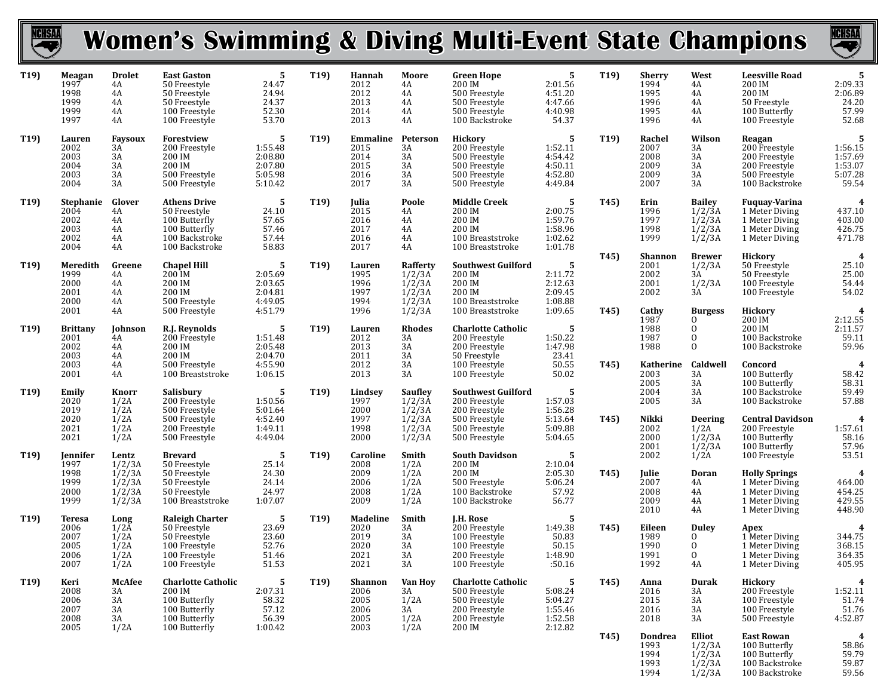

## **Women's Swimming & Diving Multi-Event State Champions**



1/2/3A 100 Backstroke 59.56

| T <sub>19</sub> ) | Meagan<br>1997<br>1998<br>1999<br>1999<br>1997        | <b>Drolet</b><br>4A<br>4A<br>4A<br>4A<br>4A               | <b>East Gaston</b><br>50 Freestyle<br>50 Freestyle<br>50 Freestyle<br>100 Freestyle<br>100 Freestyle      | 5<br>24.47<br>24.94<br>24.37<br>52.30<br>53.70           | T19               | Hannah<br>2012<br>2012<br>2013<br>2014<br>2013          | Moore<br>4A<br>4A<br>4A<br>4A<br>4A                                                    | <b>Green Hope</b><br>200 IM<br>500 Freestyle<br>500 Freestyle<br>500 Freestyle<br>100 Backstroke    | 5<br>2:01.56<br>4:51.20<br>4:47.66<br>4:40.98<br>54.37     | T19                       | <b>Sherry</b><br>1994<br>1995<br>1996<br>1995<br>1996   | West<br>4A<br>4A<br>4A<br>4A<br>4A                                     | <b>Leesville Road</b><br>200 IM<br>200 IM<br>50 Freestyle<br>100 Butterfly<br>100 Freestyle        | 5<br>2:09.33<br>2:06.89<br>24.20<br>57.99<br>52.68      |
|-------------------|-------------------------------------------------------|-----------------------------------------------------------|-----------------------------------------------------------------------------------------------------------|----------------------------------------------------------|-------------------|---------------------------------------------------------|----------------------------------------------------------------------------------------|-----------------------------------------------------------------------------------------------------|------------------------------------------------------------|---------------------------|---------------------------------------------------------|------------------------------------------------------------------------|----------------------------------------------------------------------------------------------------|---------------------------------------------------------|
| T <sub>19</sub> ) | Lauren<br>2002<br>2003<br>2004<br>2003<br>2004        | Faysoux<br>$3\overline{A}$<br>3A<br>3A<br>3A<br>3A        | Forestview<br>200 Freestyle<br>200 IM<br>200 IM<br>500 Freestyle<br>500 Freestyle                         | 5<br>1:55.48<br>2:08.80<br>2:07.80<br>5:05.98<br>5:10.42 | T19               | Emmaline<br>2015<br>2014<br>2015<br>2016<br>2017        | Peterson<br>3A<br>3A<br>3A<br>3A<br>3A                                                 | <b>Hickory</b><br>200 Freestyle<br>500 Freestyle<br>500 Freestyle<br>500 Freestyle<br>500 Freestyle | - 5<br>1:52.11<br>4:54.42<br>4:50.11<br>4:52.80<br>4:49.84 | T19)                      | Rachel<br>2007<br>2008<br>2009<br>2009<br>2007          | Wilson<br>3A<br>3A<br>3A<br>3A<br>3A                                   | Reagan<br>200 Freestyle<br>200 Freestyle<br>200 Freestyle<br>500 Freestyle<br>100 Backstroke       | 5<br>1:56.15<br>1:57.69<br>1:53.07<br>5:07.28<br>59.54  |
| T <sub>19</sub> ) | Stephanie<br>2004<br>2002<br>2003<br>2002<br>2004     | Glover<br>4A<br>4A<br>4A<br>4A<br>4A                      | <b>Athens Drive</b><br>50 Freestyle<br>100 Butterfly<br>100 Butterfly<br>100 Backstroke<br>100 Backstroke | 5<br>24.10<br>57.65<br>57.46<br>57.44<br>58.83           | T19               | Julia<br>2015<br>2016<br>2017<br>2016<br>2017           | Poole<br>4A<br>4A<br>4A<br>4A<br>4A                                                    | <b>Middle Creek</b><br>200 IM<br>200 IM<br>200 IM<br>$100\rm\;Breatstroke$<br>100 Breaststroke      | 5<br>2:00.75<br>1:59.76<br>1:58.96<br>1:02.62<br>1:01.78   | T45)                      | Erin<br>1996<br>1997<br>1998<br>1999                    | <b>Bailey</b><br>1/2/3A<br>1/2/3A<br>1/2/3A<br>1/2/3A                  | <b>Fuguay-Varina</b><br>1 Meter Diving<br>1 Meter Diving<br>1 Meter Diving<br>1 Meter Diving       | 4<br>437.10<br>403.00<br>426.75<br>471.78               |
| T <sub>19</sub> ) | Meredith<br>1999<br>2000<br>2001<br>2000<br>2001      | Greene<br>4A<br>4A<br>4A<br>4A<br>4A                      | <b>Chapel Hill</b><br>$200$ IM<br>200 IM<br>200 IM<br>500 Freestyle<br>500 Freestyle                      | 5<br>2:05.69<br>2:03.65<br>2:04.81<br>4:49.05<br>4:51.79 | T19               | Lauren<br>1995<br>1996<br>1997<br>1994<br>1996          | Rafferty<br>$\frac{1}{2}$ /3A<br>$\frac{1}{2}$ /3A<br>$1/2/3A$<br>$1/2/3A$<br>$1/2/3A$ | <b>Southwest Guilford</b><br>200 IM<br>200 IM<br>200 IM<br>100 Breaststroke<br>100 Breaststroke     | 5<br>2:11.72<br>2:12.63<br>2:09.45<br>1:08.88<br>1:09.65   | T45)<br>T <sub>45</sub> ) | <b>Shannon</b><br>2001<br>2002<br>2001<br>2002<br>Cathy | <b>Brewer</b><br>1/2/3A<br>3A<br>1/2/3A<br>3A<br><b>Burgess</b>        | <b>Hickory</b><br>50 Freestyle<br>50 Freestyle<br>100 Freestyle<br>100 Freestyle<br><b>Hickory</b> | $\overline{4}$<br>25.10<br>25.00<br>54.44<br>54.02<br>4 |
| T <sub>19</sub> ) | <b>Brittany</b><br>2001<br>2002<br>2003<br>2003       | Johnson<br>4A<br>4A<br>4A<br>4A                           | R.J. Reynolds<br>200 Freestyle<br>200 IM<br>200 IM<br>500 Freestyle                                       | 5<br>1:51.48<br>2:05.48<br>2:04.70<br>4:55.90            | T19               | Lauren<br>2012<br>2013<br>2011<br>2012                  | <b>Rhodes</b><br>3A<br>3A<br>3A<br>3A                                                  | <b>Charlotte Catholic</b><br>200 Freestyle<br>200 Freestyle<br>50 Freestyle<br>100 Freestyle        | 5<br>1:50.22<br>1:47.98<br>23.41<br>50.55                  | T45)                      | 1987<br>1988<br>1987<br>1988<br>Katherine               | $\Omega$<br>$\overline{0}$<br>$\mathbf{0}$<br>$\mathbf{0}$<br>Caldwell | 200 IM<br>200 IM<br>100 Backstroke<br>100 Backstroke<br>Concord                                    | 2:12.55<br>2:11.57<br>59.11<br>59.96<br>$\overline{4}$  |
| T <sub>19</sub> ) | 2001<br>Emily<br>2020<br>2019<br>2020                 | 4A<br>Knorr<br>1/2A<br>1/2A<br>1/2A                       | 100 Breaststroke<br>Salisbury<br>200 Freestyle<br>500 Freestyle<br>500 Freestyle                          | 1:06.15<br>5<br>1:50.56<br>5:01.64<br>4:52.40            | T <sub>19</sub> ) | 2013<br>Lindsev<br>1997<br>2000<br>1997                 | 3A<br>Saufley<br>$\frac{1}{2}/\frac{3}{3}$<br>$\frac{1}{2}/\frac{2}{3}$                | 100 Freestyle<br><b>Southwest Guilford</b><br>200 Freestyle<br>200 Freestyle<br>500 Freestyle       | 50.02<br>5<br>1:57.03<br>1:56.28<br>5:13.64                | T45)                      | 2003<br>2005<br>2004<br>2005<br>Nikki                   | 3A<br>3A<br>3A<br>3A<br><b>Deering</b>                                 | 100 Butterfly<br>100 Butterfly<br>100 Backstroke<br>100 Backstroke<br><b>Central Davidson</b>      | 58.42<br>58.31<br>59.49<br>57.88<br>$\boldsymbol{4}$    |
| T19)              | 2021<br>2021<br>Jennifer                              | 1/2A<br>1/2A<br>Lentz                                     | 200 Freestyle<br>500 Freestyle<br><b>Brevard</b>                                                          | 1:49.11<br>4:49.04<br>5                                  | T19               | 1998<br>2000<br>Caroline                                | 1/2/3A<br>1/2/3A<br>Smith                                                              | 500 Freestyle<br>500 Freestyle<br><b>South Davidson</b>                                             | 5:09.88<br>5:04.65<br>-5                                   |                           | 2002<br>2000<br>2001<br>2002                            | 1/2A<br>1/2/3A<br>1/2/3A<br>1/2A                                       | 200 Freestyle<br>100 Butterfly<br>100 Butterfly<br>100 Freestyle                                   | 1:57.61<br>58.16<br>57.96<br>53.51                      |
|                   | 1997<br>1998<br>1999<br>2000<br>1999                  | 1/2/3A<br>1/2/3A<br>1/2/3A<br>1/2/3A<br>1/2/3A            | 50 Freestyle<br>50 Freestyle<br>50 Freestyle<br>50 Freestyle<br>100 Breaststroke                          | 25.14<br>24.30<br>24.14<br>24.97<br>1:07.07              |                   | 2008<br>2009<br>2006<br>2008<br>2009                    | 1/2A<br>1/2A<br>1/2A<br>1/2A<br>1/2A                                                   | 200 IM<br>200 IM<br>500 Freestyle<br>100 Backstroke<br>100 Backstroke                               | 2:10.04<br>2:05.30<br>5:06.24<br>57.92<br>56.77            | T45)                      | Julie<br>2007<br>2008<br>2009<br>2010                   | Doran<br>4A<br>4A<br>4A<br>4A                                          | <b>Holly Springs</b><br>1 Meter Diving<br>1 Meter Diving<br>1 Meter Diving<br>1 Meter Diving       | 4<br>464.00<br>454.25<br>429.55<br>448.90               |
| T <sub>19</sub> ) | <b>Teresa</b><br>2006<br>2007<br>2005<br>2006<br>2007 | Long<br>$1/2\overline{A}$<br>1/2A<br>1/2A<br>1/2A<br>1/2A | Raleigh Charter<br>50 Freestyle<br>50 Freestyle<br>100 Freestyle<br>100 Freestyle<br>100 Freestyle        | 5<br>23.69<br>23.60<br>52.76<br>51.46<br>51.53           | T19               | <b>Madeline</b><br>2020<br>2019<br>2020<br>2021<br>2021 | Smith<br>3A<br>3A<br>3A<br>3A<br>3A                                                    | J.H. Rose<br>200 Freestyle<br>100 Freestyle<br>100 Freestyle<br>200 Freestyle<br>100 Freestyle      | 5<br>1:49.38<br>50.83<br>50.15<br>1:48.90<br>:50.16        | T <sub>45</sub> )         | Eileen<br>1989<br>1990<br>1991<br>1992                  | <b>Duley</b><br>$\Omega$<br>$\overline{0}$<br>$\mathbf{0}$<br>4A       | Apex<br>1 Meter Diving<br>1 Meter Diving<br>1 Meter Diving<br>1 Meter Diving                       | 4<br>344.75<br>368.15<br>364.35<br>405.95               |
| T19)              | Keri<br>2008<br>2006<br>2007<br>2008                  | McAfee<br>3A<br>3A<br>3A<br>3A                            | <b>Charlotte Catholic</b><br>200 IM<br>100 Butterfly<br>100 Butterfly<br>100 Butterfly                    | 5<br>2:07.31<br>58.32<br>57.12<br>56.39                  | T19               | Shannon<br>2006<br>2005<br>2006<br>2005                 | <b>Van Hoy</b><br>3A<br>1/2A<br>3A<br>1/2A                                             | <b>Charlotte Catholic</b><br>500 Freestyle<br>500 Freestyle<br>200 Freestyle<br>200 Freestyle       | -5<br>5:08.24<br>5:04.27<br>1:55.46<br>1:52.58             | T <sub>45</sub> )         | Anna<br>2016<br>2015<br>2016<br>2018                    | Durak<br>3A<br>3A<br>3A<br>3A                                          | <b>Hickory</b><br>200 Freestyle<br>100 Freestyle<br>100 Freestyle<br>500 Freestyle                 | 4<br>1:52.11<br>51.74<br>51.76<br>4:52.87               |
|                   | 2005                                                  | 1/2A                                                      | 100 Butterfly                                                                                             | 1:00.42                                                  |                   | 2003                                                    | 1/2A                                                                                   | 200 IM                                                                                              | 2:12.82                                                    | T <sub>45</sub> )         | Dondrea<br>1993<br>1994<br>1993                         | Elliot<br>$1/2/3A$<br>$1/2/3A$<br>1/2/3A                               | <b>East Rowan</b><br>100 Butterfly<br>100 Butterfly<br>100 Backstroke                              | $\boldsymbol{4}$<br>58.86<br>59.79<br>59.87             |